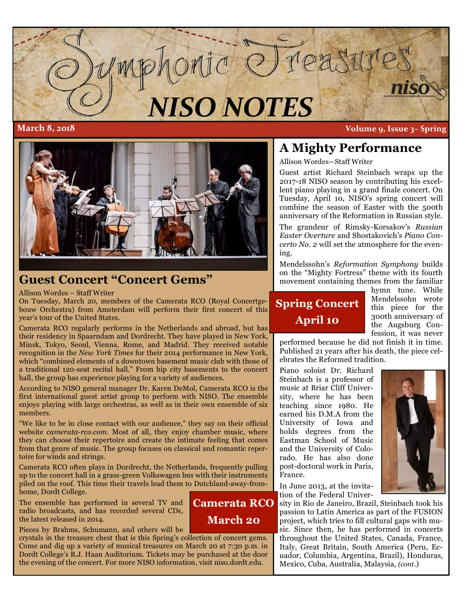

**Camerata RCO**

**March 20**



## **Guest Concert "Concert Gems"**

Allison Wordes – Staff Writer

On Tuesday, March 20, members of the Camerata RCO (Royal Concertgebouw Orchestra) from Amsterdam will perform their first concert of this year's tour of the United States.

Camerata RCO regularly performs in the Netherlands and abroad, but has their residency in Spaarndam and Dordrecht. They have played in New York, Minsk, Tokyo, Seoul, Vienna, Rome, and Madrid. They received notable recognition in the *New York Times* for their 2014 performance in New York, which "combined elements of a downtown basement music club with those of a traditional 120-seat recital hall." From hip city basements to the concert hall, the group has experience playing for a variety of audiences.

According to NISO general manager Dr. Karen DeMol, Camerata RCO is the first international guest artist group to perform with NISO. The ensemble enjoys playing with large orchestras, as well as in their own ensemble of six members.

"We like to be in close contact with our audience," they say on their official website *camerata-rco.com.* Most of all, they enjoy chamber music, where they can choose their repertoire and create the intimate feeling that comes from that genre of music. The group focuses on classical and romantic repertoire for winds and strings.

Camerata RCO often plays in Dordrecht, the Netherlands, frequently pulling up to the concert hall in a grass-green Volkswagen bus with their instruments piled on the roof. This time their travels lead them to Dutchland-away-fromhome, Dordt College.

The ensemble has performed in several TV and radio broadcasts, and has recorded several CDs, the latest released in 2014.

Pieces by Brahms, Schumann, and others will be

crystals in the treasure chest that is this Spring's collection of concert gems. Come and dig up a variety of musical treasures on March 20 at 7:30 p.m. in Dordt College's B.J. Haan Auditorium. Tickets may be purchased at the door the evening of the concert. For more NISO information, visit niso.dordt.edu.

## **A Mighty Performance**

Allison Wordes—Staff Writer

Guest artist Richard Steinbach wraps up the 2017-18 NISO season by contributing his excellent piano playing in a grand finale concert. On Tuesday, April 10, NISO's spring concert will combine the season of Easter with the 500th anniversary of the Reformation in Russian style.

The grandeur of Rimsky-Korsakov's *Russian Easter Overture* and Shostakovich's *Piano Concerto No. 2* will set the atmosphere for the evening.

Mendelssohn's *Reformation Symphony* builds on the "Mighty Fortress" theme with its fourth movement containing themes from the familiar

# **Spring Concert April 10**

hymn tune. While Mendelssohn wrote this piece for the 300th anniversary of the Augsburg Confession, it was never

performed because he did not finish it in time. Published 21 years after his death, the piece celebrates the Reformed tradition.

Piano soloist Dr. Richard Steinbach is a professor of music at Briar Cliff University, where he has been teaching since 1980. He earned his D.M.A from the University of Iowa and holds degrees from the Eastman School of Music and the University of Colorado. He has also done post-doctoral work in Paris, France.

In June 2013, at the invitation of the Federal Univer-

sity in Rio de Janeiro, Brazil, Steinbach took his passion to Latin America as part of the FUSION project, which tries to fill cultural gaps with music. Since then, he has performed in concerts throughout the United States, Canada, France, Italy, Great Britain, South America (Peru, Ecuador, Columbia, Argentina, Brazil), Honduras, Mexico, Cuba, Australia, Malaysia, *(cont*.)